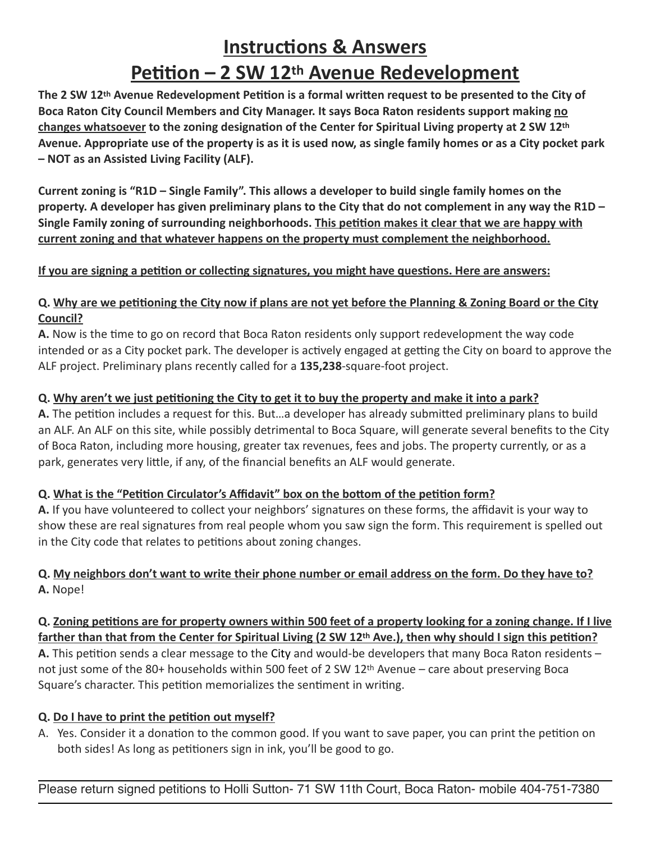# **Instructions & Answers Petition – 2 SW 12th Avenue Redevelopment**

**The 2 SW 12th Avenue Redevelopment Petition is a formal written request to be presented to the City of Boca Raton City Council Members and City Manager. It says Boca Raton residents support making no changes whatsoever to the zoning designation of the Center for Spiritual Living property at 2 SW 12th Avenue. Appropriate use of the property is as it is used now, as single family homes or as a City pocket park – NOT as an Assisted Living Facility (ALF).** 

**Current zoning is "R1D – Single Family". This allows a developer to build single family homes on the property. A developer has given preliminary plans to the City that do not complement in any way the R1D – Single Family zoning of surrounding neighborhoods. This petition makes it clear that we are happy with current zoning and that whatever happens on the property must complement the neighborhood.**

#### **If you are signing a petition or collecting signatures, you might have questions. Here are answers:**

#### **Q. Why are we petitioning the City now if plans are not yet before the Planning & Zoning Board or the City Council?**

**A.** Now is the time to go on record that Boca Raton residents only support redevelopment the way code intended or as a City pocket park. The developer is actively engaged at getting the City on board to approve the ALF project. Preliminary plans recently called for a **135,238**-square-foot project.

#### **Q. Why aren't we just petitioning the City to get it to buy the property and make it into a park?**

**A.** The petition includes a request for this. But…a developer has already submitted preliminary plans to build an ALF. An ALF on this site, while possibly detrimental to Boca Square, will generate several benefits to the City of Boca Raton, including more housing, greater tax revenues, fees and jobs. The property currently, or as a park, generates very little, if any, of the financial benefits an ALF would generate.

#### **Q. What is the "Petition Circulator's Affidavit" box on the bottom of the petition form?**

**A.** If you have volunteered to collect your neighbors' signatures on these forms, the affidavit is your way to show these are real signatures from real people whom you saw sign the form. This requirement is spelled out in the City code that relates to petitions about zoning changes.

### **Q. My neighbors don't want to write their phone number or email address on the form. Do they have to? A.** Nope!

#### **Q. Zoning petitions are for property owners within 500 feet of a property looking for a zoning change. If I live farther than that from the Center for Spiritual Living (2 SW 12th Ave.), then why should I sign this petition? A.** This petition sends a clear message to the City and would-be developers that many Boca Raton residents – not just some of the 80+ households within 500 feet of 2 SW 12th Avenue – care about preserving Boca

Square's character. This petition memorializes the sentiment in writing.

## **Q. Do I have to print the petition out myself?**

A. Yes. Consider it a donation to the common good. If you want to save paper, you can print the petition on both sides! As long as petitioners sign in ink, you'll be good to go.

Please return signed petitions to Holli Sutton- 71 SW 11th Court, Boca Raton- mobile 404-751-7380